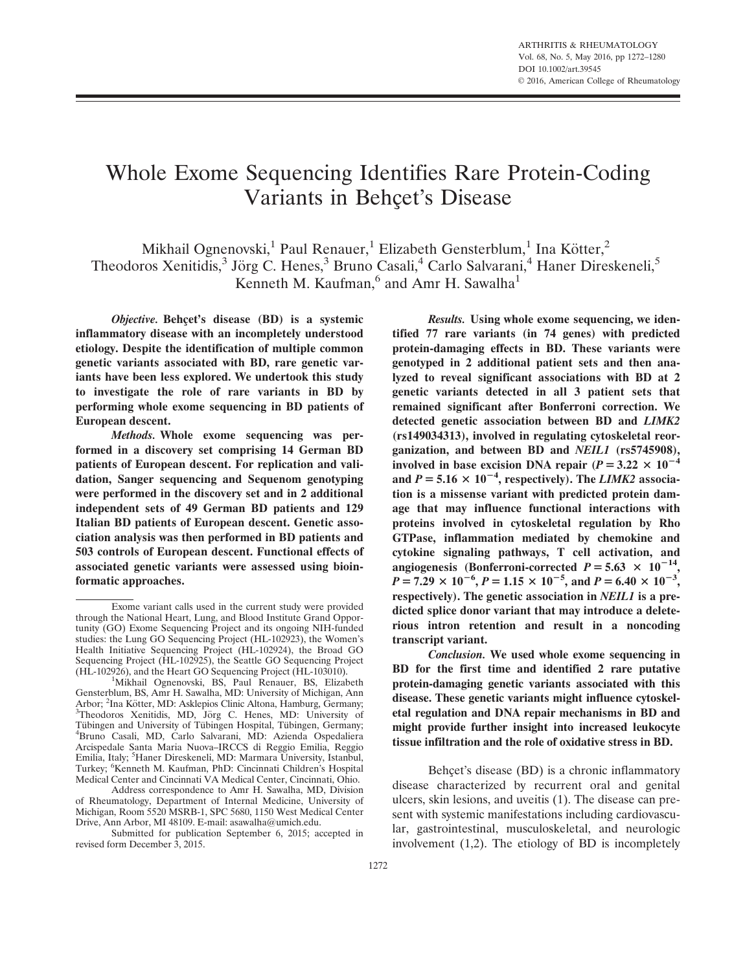# Whole Exome Sequencing Identifies Rare Protein-Coding Variants in Behçet's Disease

Mikhail Ognenovski,<sup>1</sup> Paul Renauer,<sup>1</sup> Elizabeth Gensterblum,<sup>1</sup> Ina Kötter,<sup>2</sup> Theodoros Xenitidis,<sup>3</sup> Jörg C. Henes,<sup>3</sup> Bruno Casali,<sup>4</sup> Carlo Salvarani,<sup>4</sup> Haner Direskeneli,<sup>5</sup> Kenneth M. Kaufman,<sup>6</sup> and Amr H. Sawalha<sup>1</sup>

Objective. Behcet's disease (BD) is a systemic inflammatory disease with an incompletely understood etiology. Despite the identification of multiple common genetic variants associated with BD, rare genetic variants have been less explored. We undertook this study to investigate the role of rare variants in BD by performing whole exome sequencing in BD patients of European descent.

Methods. Whole exome sequencing was performed in a discovery set comprising 14 German BD patients of European descent. For replication and validation, Sanger sequencing and Sequenom genotyping were performed in the discovery set and in 2 additional independent sets of 49 German BD patients and 129 Italian BD patients of European descent. Genetic association analysis was then performed in BD patients and 503 controls of European descent. Functional effects of associated genetic variants were assessed using bioinformatic approaches.

Submitted for publication September 6, 2015; accepted in revised form December 3, 2015.

Results. Using whole exome sequencing, we identified 77 rare variants (in 74 genes) with predicted protein-damaging effects in BD. These variants were genotyped in 2 additional patient sets and then analyzed to reveal significant associations with BD at 2 genetic variants detected in all 3 patient sets that remained significant after Bonferroni correction. We detected genetic association between BD and LIMK2 (rs149034313), involved in regulating cytoskeletal reorganization, and between BD and NEIL1 (rs5745908), involved in base excision DNA repair ( $P = 3.22 \times 10^{-4}$ ) and  $P = 5.16 \times 10^{-4}$ , respectively). The LIMK2 association is a missense variant with predicted protein damage that may influence functional interactions with proteins involved in cytoskeletal regulation by Rho GTPase, inflammation mediated by chemokine and cytokine signaling pathways, T cell activation, and angiogenesis (Bonferroni-corrected  $P = 5.63 \times 10^{-14}$ ,  $P = 7.29 \times 10^{-6}$ ,  $P = 1.15 \times 10^{-5}$ , and  $P = 6.40 \times 10^{-3}$ , respectively). The genetic association in NEIL1 is a predicted splice donor variant that may introduce a deleterious intron retention and result in a noncoding transcript variant.

Conclusion. We used whole exome sequencing in BD for the first time and identified 2 rare putative protein-damaging genetic variants associated with this disease. These genetic variants might influence cytoskeletal regulation and DNA repair mechanisms in BD and might provide further insight into increased leukocyte tissue infiltration and the role of oxidative stress in BD.

Behçet's disease (BD) is a chronic inflammatory disease characterized by recurrent oral and genital ulcers, skin lesions, and uveitis (1). The disease can present with systemic manifestations including cardiovascular, gastrointestinal, musculoskeletal, and neurologic involvement (1,2). The etiology of BD is incompletely

Exome variant calls used in the current study were provided through the National Heart, Lung, and Blood Institute Grand Opportunity (GO) Exome Sequencing Project and its ongoing NIH-funded studies: the Lung GO Sequencing Project (HL-102923), the Women's Health Initiative Sequencing Project (HL-102924), the Broad GO Sequencing Project (HL-102925), the Seattle GO Sequencing Project (HL-102926), and the Heart GO Sequencing Project (HL-103010). <sup>1</sup>

<sup>&</sup>lt;sup>1</sup>Mikhail Ognenovski, BS, Paul Renauer, BS, Elizabeth Gensterblum, BS, Amr H. Sawalha, MD: University of Michigan, Ann Arbor; <sup>2</sup>Ina Kötter, MD: Asklepios Clinic Altona, Hamburg, Germany; <sup>3</sup>Theodoros Xenitidis, MD, Jörg C. Henes, MD: University of Tübingen and University of Tübingen Hospital, Tübingen, Germany; Bruno Casali, MD, Carlo Salvarani, MD: Azienda Ospedaliera Arcispedale Santa Maria Nuova–IRCCS di Reggio Emilia, Reggio Emilia, Italy; <sup>5</sup>Haner Direskeneli, MD: Marmara University, Istanbul, Turkey; <sup>6</sup> Kenneth M. Kaufman, PhD: Cincinnati Children's Hospital Medical Center and Cincinnati VA Medical Center, Cincinnati, Ohio.

Address correspondence to Amr H. Sawalha, MD, Division of Rheumatology, Department of Internal Medicine, University of Michigan, Room 5520 MSRB-1, SPC 5680, 1150 West Medical Center Drive, Ann Arbor, MI 48109. E-mail: asawalha@umich.edu.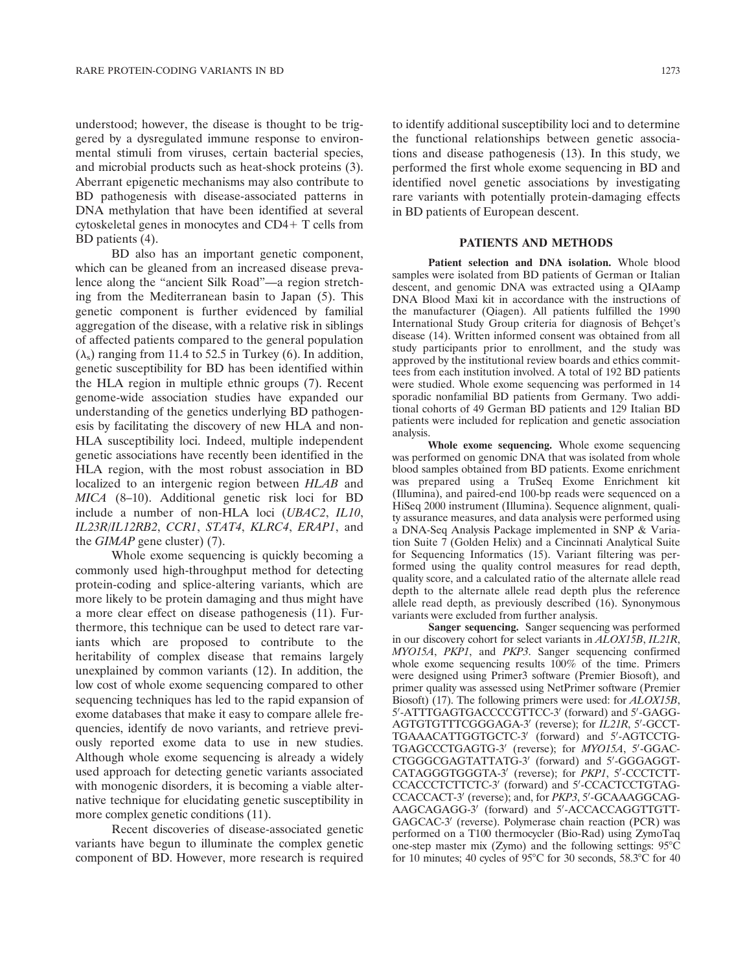understood; however, the disease is thought to be triggered by a dysregulated immune response to environmental stimuli from viruses, certain bacterial species, and microbial products such as heat-shock proteins (3). Aberrant epigenetic mechanisms may also contribute to BD pathogenesis with disease-associated patterns in DNA methylation that have been identified at several cytoskeletal genes in monocytes and  $CD4+T$  cells from BD patients (4).

BD also has an important genetic component, which can be gleaned from an increased disease prevalence along the "ancient Silk Road"—a region stretching from the Mediterranean basin to Japan (5). This genetic component is further evidenced by familial aggregation of the disease, with a relative risk in siblings of affected patients compared to the general population  $(\lambda_s)$  ranging from 11.4 to 52.5 in Turkey (6). In addition, genetic susceptibility for BD has been identified within the HLA region in multiple ethnic groups (7). Recent genome-wide association studies have expanded our understanding of the genetics underlying BD pathogenesis by facilitating the discovery of new HLA and non-HLA susceptibility loci. Indeed, multiple independent genetic associations have recently been identified in the HLA region, with the most robust association in BD localized to an intergenic region between HLAB and MICA (8–10). Additional genetic risk loci for BD include a number of non-HLA loci (UBAC2, IL10, IL23R/IL12RB2, CCR1, STAT4, KLRC4, ERAP1, and the GIMAP gene cluster) (7).

Whole exome sequencing is quickly becoming a commonly used high-throughput method for detecting protein-coding and splice-altering variants, which are more likely to be protein damaging and thus might have a more clear effect on disease pathogenesis (11). Furthermore, this technique can be used to detect rare variants which are proposed to contribute to the heritability of complex disease that remains largely unexplained by common variants (12). In addition, the low cost of whole exome sequencing compared to other sequencing techniques has led to the rapid expansion of exome databases that make it easy to compare allele frequencies, identify de novo variants, and retrieve previously reported exome data to use in new studies. Although whole exome sequencing is already a widely used approach for detecting genetic variants associated with monogenic disorders, it is becoming a viable alternative technique for elucidating genetic susceptibility in more complex genetic conditions (11).

Recent discoveries of disease-associated genetic variants have begun to illuminate the complex genetic component of BD. However, more research is required to identify additional susceptibility loci and to determine the functional relationships between genetic associations and disease pathogenesis (13). In this study, we performed the first whole exome sequencing in BD and identified novel genetic associations by investigating rare variants with potentially protein-damaging effects in BD patients of European descent.

### PATIENTS AND METHODS

Patient selection and DNA isolation. Whole blood samples were isolated from BD patients of German or Italian descent, and genomic DNA was extracted using a QIAamp DNA Blood Maxi kit in accordance with the instructions of the manufacturer (Qiagen). All patients fulfilled the 1990 International Study Group criteria for diagnosis of Behçet's disease (14). Written informed consent was obtained from all study participants prior to enrollment, and the study was approved by the institutional review boards and ethics committees from each institution involved. A total of 192 BD patients were studied. Whole exome sequencing was performed in 14 sporadic nonfamilial BD patients from Germany. Two additional cohorts of 49 German BD patients and 129 Italian BD patients were included for replication and genetic association analysis.

Whole exome sequencing. Whole exome sequencing was performed on genomic DNA that was isolated from whole blood samples obtained from BD patients. Exome enrichment was prepared using a TruSeq Exome Enrichment kit (Illumina), and paired-end 100-bp reads were sequenced on a HiSeq 2000 instrument (Illumina). Sequence alignment, quality assurance measures, and data analysis were performed using a DNA-Seq Analysis Package implemented in SNP & Variation Suite 7 (Golden Helix) and a Cincinnati Analytical Suite for Sequencing Informatics (15). Variant filtering was performed using the quality control measures for read depth, quality score, and a calculated ratio of the alternate allele read depth to the alternate allele read depth plus the reference allele read depth, as previously described (16). Synonymous variants were excluded from further analysis.

Sanger sequencing. Sanger sequencing was performed in our discovery cohort for select variants in ALOX15B, IL21R, MYO15A, PKP1, and PKP3. Sanger sequencing confirmed whole exome sequencing results  $100\%$  of the time. Primers were designed using Primer3 software (Premier Biosoft), and primer quality was assessed using NetPrimer software (Premier Biosoft) (17). The following primers were used: for *ALOX15B*, 5'-ATTTGAGTGACCCCGTTCC-3' (forward) and 5'-GAGG-AGTGTGTTTCGGGAGA-3' (reverse); for IL21R, 5'-GCCT-TGAAACATTGGTGCTC-3' (forward) and 5'-AGTCCTG-TGAGCCCTGAGTG-3' (reverse); for MYO15A, 5'-GGAC-CTGGGCGAGTATTATG-3' (forward) and 5'-GGGAGGT-CATAGGGTGGGTA-3' (reverse); for PKP1, 5'-CCCTCTT-CCACCCTCTTCTC-3' (forward) and 5'-CCACTCCTGTAG-CCACCACT-3' (reverse); and, for PKP3, 5'-GCAAAGGCAG-AAGCAGAGG-3' (forward) and 5'-ACCACCAGGTTGTT-GAGCAC-3' (reverse). Polymerase chain reaction (PCR) was performed on a T100 thermocycler (Bio-Rad) using ZymoTaq one-step master mix (Zymo) and the following settings:  $95^{\circ}$ C for 10 minutes; 40 cycles of 95 $^{\circ}$ C for 30 seconds, 58.3 $^{\circ}$ C for 40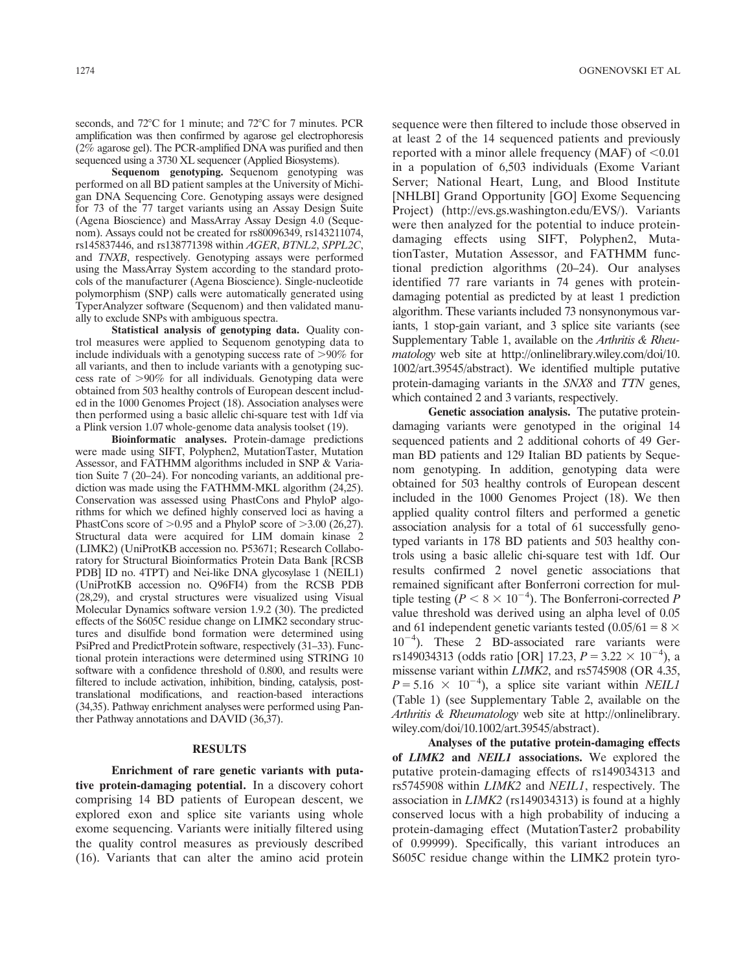seconds, and 72°C for 1 minute; and 72°C for 7 minutes. PCR amplification was then confirmed by agarose gel electrophoresis (2% agarose gel). The PCR-amplified DNA was purified and then sequenced using a 3730 XL sequencer (Applied Biosystems).

Sequenom genotyping. Sequenom genotyping was performed on all BD patient samples at the University of Michigan DNA Sequencing Core. Genotyping assays were designed for 73 of the 77 target variants using an Assay Design Suite (Agena Bioscience) and MassArray Assay Design 4.0 (Sequenom). Assays could not be created for rs80096349, rs143211074, rs145837446, and rs138771398 within AGER, BTNL2, SPPL2C, and TNXB, respectively. Genotyping assays were performed using the MassArray System according to the standard protocols of the manufacturer (Agena Bioscience). Single-nucleotide polymorphism (SNP) calls were automatically generated using TyperAnalyzer software (Sequenom) and then validated manually to exclude SNPs with ambiguous spectra.

Statistical analysis of genotyping data. Quality control measures were applied to Sequenom genotyping data to include individuals with a genotyping success rate of  $>90\%$  for all variants, and then to include variants with a genotyping success rate of  $>90\%$  for all individuals. Genotyping data were obtained from 503 healthy controls of European descent included in the 1000 Genomes Project (18). Association analyses were then performed using a basic allelic chi-square test with 1df via a Plink version 1.07 whole-genome data analysis toolset (19).

Bioinformatic analyses. Protein-damage predictions were made using SIFT, Polyphen2, MutationTaster, Mutation Assessor, and FATHMM algorithms included in SNP & Variation Suite 7 (20–24). For noncoding variants, an additional prediction was made using the FATHMM-MKL algorithm (24,25). Conservation was assessed using PhastCons and PhyloP algorithms for which we defined highly conserved loci as having a PhastCons score of  $>0.95$  and a PhyloP score of  $>3.00$  (26,27). Structural data were acquired for LIM domain kinase 2 (LIMK2) (UniProtKB accession no. P53671; Research Collaboratory for Structural Bioinformatics Protein Data Bank [RCSB PDB] ID no. 4TPT) and Nei-like DNA glycosylase 1 (NEIL1) (UniProtKB accession no. Q96FI4) from the RCSB PDB (28,29), and crystal structures were visualized using Visual Molecular Dynamics software version 1.9.2 (30). The predicted effects of the S605C residue change on LIMK2 secondary structures and disulfide bond formation were determined using PsiPred and PredictProtein software, respectively (31–33). Functional protein interactions were determined using STRING 10 software with a confidence threshold of 0.800, and results were filtered to include activation, inhibition, binding, catalysis, posttranslational modifications, and reaction-based interactions (34,35). Pathway enrichment analyses were performed using Panther Pathway annotations and DAVID (36,37).

### RESULTS

Enrichment of rare genetic variants with putative protein-damaging potential. In a discovery cohort comprising 14 BD patients of European descent, we explored exon and splice site variants using whole exome sequencing. Variants were initially filtered using the quality control measures as previously described (16). Variants that can alter the amino acid protein

sequence were then filtered to include those observed in at least 2 of the 14 sequenced patients and previously reported with a minor allele frequency (MAF) of  $< 0.01$ in a population of 6,503 individuals (Exome Variant Server; National Heart, Lung, and Blood Institute [NHLBI] Grand Opportunity [GO] Exome Sequencing Project) [\(http://evs.gs.washington.edu/EVS](http://evs.gs.washington.edu/EVS)/). Variants were then analyzed for the potential to induce proteindamaging effects using SIFT, Polyphen2, MutationTaster, Mutation Assessor, and FATHMM functional prediction algorithms (20–24). Our analyses identified 77 rare variants in 74 genes with proteindamaging potential as predicted by at least 1 prediction algorithm. These variants included 73 nonsynonymous variants, 1 stop-gain variant, and 3 splice site variants (see Supplementary Table 1, available on the Arthritis & Rheumatology web site at [http://onlinelibrary.wiley.com/doi/10.](http://onlinelibrary.wiley.com/doi/10.1002/art.39545/abstract) [1002/art.39545/abstract](http://onlinelibrary.wiley.com/doi/10.1002/art.39545/abstract)). We identified multiple putative protein-damaging variants in the SNX8 and TTN genes, which contained 2 and 3 variants, respectively.

Genetic association analysis. The putative proteindamaging variants were genotyped in the original 14 sequenced patients and 2 additional cohorts of 49 German BD patients and 129 Italian BD patients by Sequenom genotyping. In addition, genotyping data were obtained for 503 healthy controls of European descent included in the 1000 Genomes Project (18). We then applied quality control filters and performed a genetic association analysis for a total of 61 successfully genotyped variants in 178 BD patients and 503 healthy controls using a basic allelic chi-square test with 1df. Our results confirmed 2 novel genetic associations that remained significant after Bonferroni correction for multiple testing  $(P < 8 \times 10^{-4})$ . The Bonferroni-corrected P value threshold was derived using an alpha level of 0.05 and 61 independent genetic variants tested  $(0.05/61 = 8 \times$  $10^{-4}$ ). These 2 BD-associated rare variants were rs149034313 (odds ratio [OR] 17.23,  $P = 3.22 \times 10^{-4}$ ), a missense variant within LIMK2, and rs5745908 (OR 4.35,  $P = 5.16 \times 10^{-4}$ , a splice site variant within *NEIL1* (Table 1) (see Supplementary Table 2, available on the Arthritis & Rheumatology web site at [http://onlinelibrary.](http://onlinelibrary.wiley.com/doi/10.1002/art.39545/abstract) [wiley.com/doi/10.1002/art.39545/abstract](http://onlinelibrary.wiley.com/doi/10.1002/art.39545/abstract)).

Analyses of the putative protein-damaging effects of LIMK2 and NEIL1 associations. We explored the putative protein-damaging effects of rs149034313 and rs5745908 within LIMK2 and NEIL1, respectively. The association in LIMK2 (rs149034313) is found at a highly conserved locus with a high probability of inducing a protein-damaging effect (MutationTaster2 probability of 0.99999). Specifically, this variant introduces an S605C residue change within the LIMK2 protein tyro-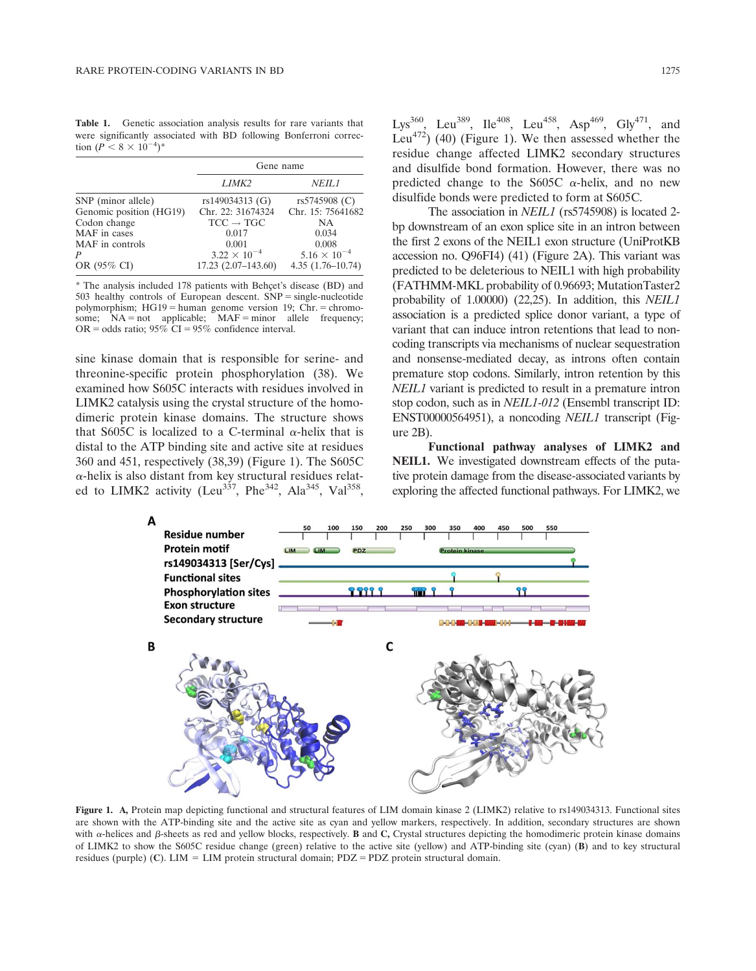Table 1. Genetic association analysis results for rare variants that were significantly associated with BD following Bonferroni correction  $(P < 8 \times 10^{-4})^*$ 

|                         | Gene name             |                       |  |
|-------------------------|-----------------------|-----------------------|--|
|                         | LIMK <sub>2</sub>     | <i>NEIL1</i>          |  |
| SNP (minor allele)      | rs149034313 (G)       | rs5745908 (C)         |  |
| Genomic position (HG19) | Chr. 22: 31674324     | Chr. 15: 75641682     |  |
| Codon change            | $TCC \rightarrow TGC$ | NA.                   |  |
| MAF in cases            | 0.017                 | 0.034                 |  |
| MAF in controls         | 0.001                 | 0.008                 |  |
| P                       | $3.22 \times 10^{-4}$ | $5.16 \times 10^{-4}$ |  |
| OR (95% CI)             | $17.23(2.07-143.60)$  | $4.35(1.76 - 10.74)$  |  |

\* The analysis included 178 patients with Behçet's disease (BD) and  $503$  healthy controls of European descent.  $SNP = single-nucleotide$ polymorphism;  $HG19 =$  human genome version 19; Chr.  $=$  chromosome;  $NA = not$  applicable;  $MAF = minor$  allele frequency; OR = odds ratio;  $95\%$  CI =  $95\%$  confidence interval.

sine kinase domain that is responsible for serine- and threonine-specific protein phosphorylation (38). We examined how S605C interacts with residues involved in LIMK2 catalysis using the crystal structure of the homodimeric protein kinase domains. The structure shows that S605C is localized to a C-terminal  $\alpha$ -helix that is distal to the ATP binding site and active site at residues 360 and 451, respectively (38,39) (Figure 1). The S605C  $\alpha$ -helix is also distant from key structural residues related to LIMK2 activity (Leu<sup>337</sup>, Phe<sup>342</sup>, Ala<sup>345</sup>, Val<sup>358</sup>,

Lys<sup>360</sup>, Leu<sup>389</sup>, Ile<sup>408</sup>, Leu<sup>458</sup>, Asp<sup>469</sup>, Gly<sup>471</sup>, and Leu<sup>472</sup>) (40) (Figure 1). We then assessed whether the residue change affected LIMK2 secondary structures and disulfide bond formation. However, there was no predicted change to the S605C  $\alpha$ -helix, and no new disulfide bonds were predicted to form at S605C.

The association in *NEIL1* (rs5745908) is located 2bp downstream of an exon splice site in an intron between the first 2 exons of the NEIL1 exon structure (UniProtKB accession no. Q96FI4) (41) (Figure 2A). This variant was predicted to be deleterious to NEIL1 with high probability (FATHMM-MKL probability of 0.96693; MutationTaster2 probability of 1.00000) (22,25). In addition, this NEIL1 association is a predicted splice donor variant, a type of variant that can induce intron retentions that lead to noncoding transcripts via mechanisms of nuclear sequestration and nonsense-mediated decay, as introns often contain premature stop codons. Similarly, intron retention by this NEIL1 variant is predicted to result in a premature intron stop codon, such as in NEIL1-012 (Ensembl transcript ID: ENST00000564951), a noncoding NEIL1 transcript (Figure 2B).

Functional pathway analyses of LIMK2 and NEIL1. We investigated downstream effects of the putative protein damage from the disease-associated variants by exploring the affected functional pathways. For LIMK2, we



Figure 1. A, Protein map depicting functional and structural features of LIM domain kinase 2 (LIMK2) relative to rs149034313. Functional sites are shown with the ATP-binding site and the active site as cyan and yellow markers, respectively. In addition, secondary structures are shown with  $\alpha$ -helices and  $\beta$ -sheets as red and yellow blocks, respectively. **B** and C, Crystal structures depicting the homodimeric protein kinase domains of LIMK2 to show the S605C residue change (green) relative to the active site (yellow) and ATP-binding site (cyan) (B) and to key structural residues (purple) (C). LIM = LIM protein structural domain; PDZ = PDZ protein structural domain.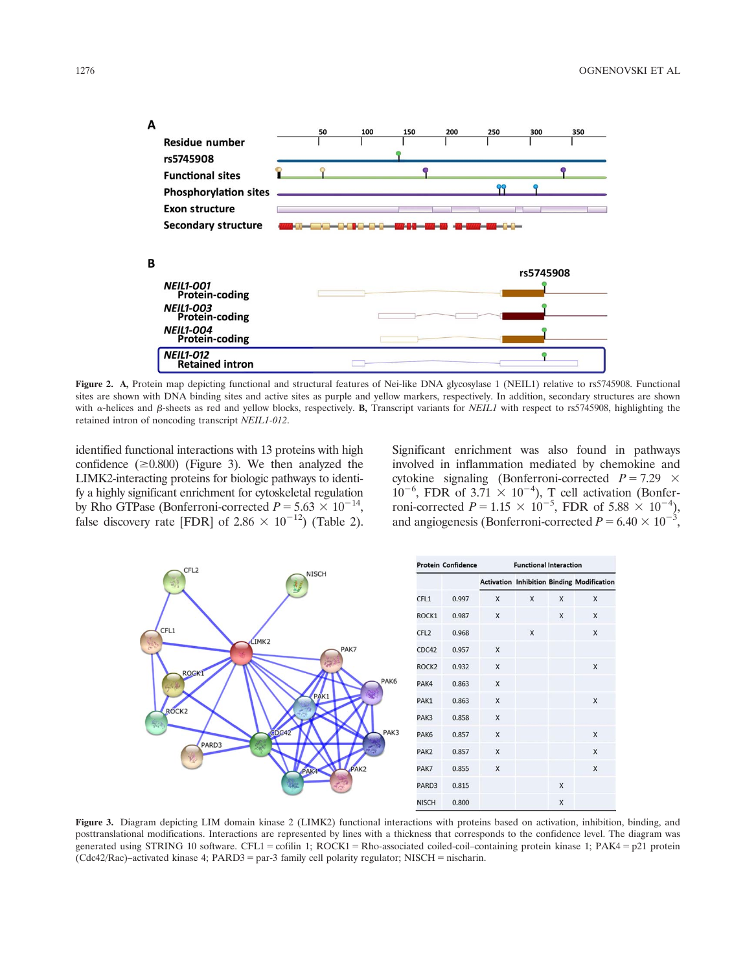

Figure 2. A, Protein map depicting functional and structural features of Nei-like DNA glycosylase 1 (NEIL1) relative to rs5745908. Functional sites are shown with DNA binding sites and active sites as purple and yellow markers, respectively. In addition, secondary structures are shown with  $\alpha$ -helices and  $\beta$ -sheets as red and yellow blocks, respectively. **B**, Transcript variants for *NEIL1* with respect to rs5745908, highlighting the retained intron of noncoding transcript NEIL1-012.

identified functional interactions with 13 proteins with high confidence  $(\geq 0.800)$  (Figure 3). We then analyzed the LIMK2-interacting proteins for biologic pathways to identify a highly significant enrichment for cytoskeletal regulation by Rho GTPase (Bonferroni-corrected  $P = 5.63 \times 10^{-14}$ , false discovery rate [FDR] of 2.86  $\times$  10<sup>-12</sup>) (Table 2). Significant enrichment was also found in pathways involved in inflammation mediated by chemokine and cytokine signaling (Bonferroni-corrected  $P = 7.29 \times$  $10^{-6}$ , FDR of 3.71  $\times$  10<sup>-4</sup>), T cell activation (Bonferroni-corrected  $P = 1.15 \times 10^{-5}$ , FDR of 5.88  $\times 10^{-4}$ ), and angiogenesis (Bonferroni-corrected  $P = 6.40 \times 10^{-3}$ ,



Figure 3. Diagram depicting LIM domain kinase 2 (LIMK2) functional interactions with proteins based on activation, inhibition, binding, and posttranslational modifications. Interactions are represented by lines with a thickness that corresponds to the confidence level. The diagram was generated using STRING 10 software. CFL1 = cofilin 1; ROCK1 = Rho-associated coiled-coil–containing protein kinase 1; PAK4 = p21 protein  $(Cd42/Rac)$ –activated kinase 4; PARD3 = par-3 family cell polarity regulator; NISCH = nischarin.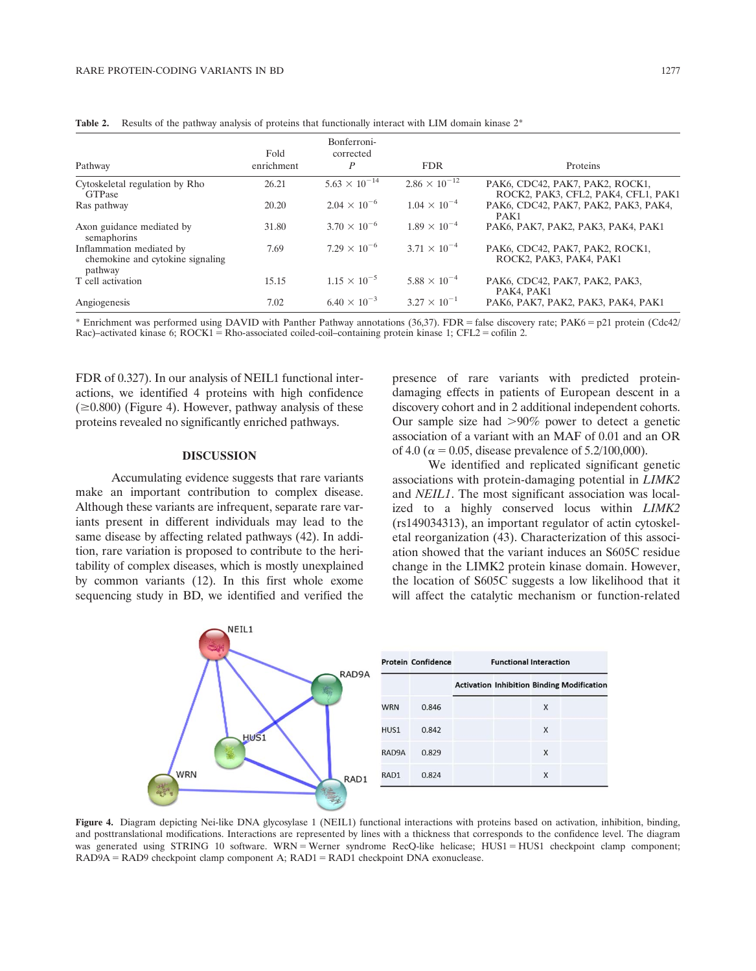| Pathway                                                                 | Fold<br>enrichment | Bonferroni-<br>corrected<br>$\boldsymbol{P}$ | <b>FDR</b>             | Proteins                                                               |
|-------------------------------------------------------------------------|--------------------|----------------------------------------------|------------------------|------------------------------------------------------------------------|
| Cytoskeletal regulation by Rho<br><b>GTPase</b>                         | 26.21              | $5.63 \times 10^{-14}$                       | $2.86 \times 10^{-12}$ | PAK6, CDC42, PAK7, PAK2, ROCK1,<br>ROCK2, PAK3, CFL2, PAK4, CFL1, PAK1 |
| Ras pathway                                                             | 20.20              | $2.04 \times 10^{-6}$                        | $1.04 \times 10^{-4}$  | PAK6, CDC42, PAK7, PAK2, PAK3, PAK4,<br>PAK1                           |
| Axon guidance mediated by<br>semaphorins                                | 31.80              | $3.70 \times 10^{-6}$                        | $1.89 \times 10^{-4}$  | PAK6, PAK7, PAK2, PAK3, PAK4, PAK1                                     |
| Inflammation mediated by<br>chemokine and cytokine signaling<br>pathway | 7.69               | $7.29 \times 10^{-6}$                        | $3.71 \times 10^{-4}$  | PAK6, CDC42, PAK7, PAK2, ROCK1,<br>ROCK2, PAK3, PAK4, PAK1             |
| T cell activation                                                       | 15.15              | $1.15 \times 10^{-5}$                        | $5.88 \times 10^{-4}$  | PAK6, CDC42, PAK7, PAK2, PAK3,<br>PAK4, PAK1                           |
| Angiogenesis                                                            | 7.02               | $6.40 \times 10^{-3}$                        | $3.27 \times 10^{-1}$  | PAK6, PAK7, PAK2, PAK3, PAK4, PAK1                                     |

**Table 2.** Results of the pathway analysis of proteins that functionally interact with LIM domain kinase  $2^*$ 

\* Enrichment was performed using DAVID with Panther Pathway annotations (36,37). FDR = false discovery rate; PAK6 = p21 protein (Cdc42/ Rac)–activated kinase 6;  $ROCK1 = Rho-associated coiled-coil-containing protein kinase 1$ ;  $CFL2 = cofilin 2$ .

FDR of 0.327). In our analysis of NEIL1 functional interactions, we identified 4 proteins with high confidence  $(\geq 0.800)$  (Figure 4). However, pathway analysis of these proteins revealed no significantly enriched pathways.

## DISCUSSION

Accumulating evidence suggests that rare variants make an important contribution to complex disease. Although these variants are infrequent, separate rare variants present in different individuals may lead to the same disease by affecting related pathways (42). In addition, rare variation is proposed to contribute to the heritability of complex diseases, which is mostly unexplained by common variants (12). In this first whole exome sequencing study in BD, we identified and verified the presence of rare variants with predicted proteindamaging effects in patients of European descent in a discovery cohort and in 2 additional independent cohorts. Our sample size had  $>90\%$  power to detect a genetic association of a variant with an MAF of 0.01 and an OR of 4.0 ( $\alpha$  = 0.05, disease prevalence of 5.2/100,000).

We identified and replicated significant genetic associations with protein-damaging potential in LIMK2 and NEIL1. The most significant association was localized to a highly conserved locus within LIMK2 (rs149034313), an important regulator of actin cytoskeletal reorganization (43). Characterization of this association showed that the variant induces an S605C residue change in the LIMK2 protein kinase domain. However, the location of S605C suggests a low likelihood that it will affect the catalytic mechanism or function-related



Figure 4. Diagram depicting Nei-like DNA glycosylase 1 (NEIL1) functional interactions with proteins based on activation, inhibition, binding, and posttranslational modifications. Interactions are represented by lines with a thickness that corresponds to the confidence level. The diagram was generated using STRING 10 software. WRN = Werner syndrome RecQ-like helicase; HUS1 = HUS1 checkpoint clamp component;  $RAD9A = RAD9$  checkpoint clamp component A;  $RAD1 = RAD1$  checkpoint DNA exonuclease.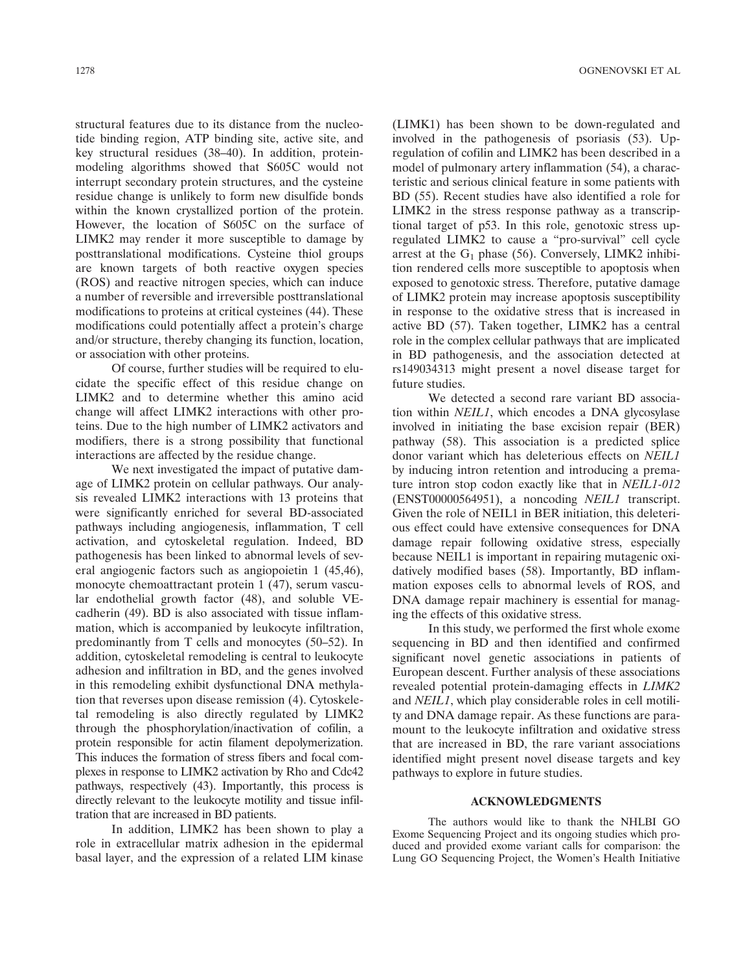structural features due to its distance from the nucleotide binding region, ATP binding site, active site, and key structural residues (38–40). In addition, proteinmodeling algorithms showed that S605C would not interrupt secondary protein structures, and the cysteine residue change is unlikely to form new disulfide bonds within the known crystallized portion of the protein. However, the location of S605C on the surface of LIMK2 may render it more susceptible to damage by posttranslational modifications. Cysteine thiol groups are known targets of both reactive oxygen species (ROS) and reactive nitrogen species, which can induce a number of reversible and irreversible posttranslational modifications to proteins at critical cysteines (44). These modifications could potentially affect a protein's charge and/or structure, thereby changing its function, location, or association with other proteins.

Of course, further studies will be required to elucidate the specific effect of this residue change on LIMK2 and to determine whether this amino acid change will affect LIMK2 interactions with other proteins. Due to the high number of LIMK2 activators and modifiers, there is a strong possibility that functional interactions are affected by the residue change.

We next investigated the impact of putative damage of LIMK2 protein on cellular pathways. Our analysis revealed LIMK2 interactions with 13 proteins that were significantly enriched for several BD-associated pathways including angiogenesis, inflammation, T cell activation, and cytoskeletal regulation. Indeed, BD pathogenesis has been linked to abnormal levels of several angiogenic factors such as angiopoietin 1 (45,46), monocyte chemoattractant protein 1 (47), serum vascular endothelial growth factor (48), and soluble VEcadherin (49). BD is also associated with tissue inflammation, which is accompanied by leukocyte infiltration, predominantly from T cells and monocytes (50–52). In addition, cytoskeletal remodeling is central to leukocyte adhesion and infiltration in BD, and the genes involved in this remodeling exhibit dysfunctional DNA methylation that reverses upon disease remission (4). Cytoskeletal remodeling is also directly regulated by LIMK2 through the phosphorylation/inactivation of cofilin, a protein responsible for actin filament depolymerization. This induces the formation of stress fibers and focal complexes in response to LIMK2 activation by Rho and Cdc42 pathways, respectively (43). Importantly, this process is directly relevant to the leukocyte motility and tissue infiltration that are increased in BD patients.

In addition, LIMK2 has been shown to play a role in extracellular matrix adhesion in the epidermal basal layer, and the expression of a related LIM kinase (LIMK1) has been shown to be down-regulated and involved in the pathogenesis of psoriasis (53). Upregulation of cofilin and LIMK2 has been described in a model of pulmonary artery inflammation (54), a characteristic and serious clinical feature in some patients with BD (55). Recent studies have also identified a role for LIMK2 in the stress response pathway as a transcriptional target of p53. In this role, genotoxic stress upregulated LIMK2 to cause a "pro-survival" cell cycle arrest at the  $G_1$  phase (56). Conversely, LIMK2 inhibition rendered cells more susceptible to apoptosis when exposed to genotoxic stress. Therefore, putative damage of LIMK2 protein may increase apoptosis susceptibility in response to the oxidative stress that is increased in active BD (57). Taken together, LIMK2 has a central role in the complex cellular pathways that are implicated in BD pathogenesis, and the association detected at rs149034313 might present a novel disease target for future studies.

We detected a second rare variant BD association within NEIL1, which encodes a DNA glycosylase involved in initiating the base excision repair (BER) pathway (58). This association is a predicted splice donor variant which has deleterious effects on NEIL1 by inducing intron retention and introducing a premature intron stop codon exactly like that in NEIL1-012 (ENST00000564951), a noncoding NEIL1 transcript. Given the role of NEIL1 in BER initiation, this deleterious effect could have extensive consequences for DNA damage repair following oxidative stress, especially because NEIL1 is important in repairing mutagenic oxidatively modified bases (58). Importantly, BD inflammation exposes cells to abnormal levels of ROS, and DNA damage repair machinery is essential for managing the effects of this oxidative stress.

In this study, we performed the first whole exome sequencing in BD and then identified and confirmed significant novel genetic associations in patients of European descent. Further analysis of these associations revealed potential protein-damaging effects in LIMK2 and NEIL1, which play considerable roles in cell motility and DNA damage repair. As these functions are paramount to the leukocyte infiltration and oxidative stress that are increased in BD, the rare variant associations identified might present novel disease targets and key pathways to explore in future studies.

## ACKNOWLEDGMENTS

The authors would like to thank the NHLBI GO Exome Sequencing Project and its ongoing studies which produced and provided exome variant calls for comparison: the Lung GO Sequencing Project, the Women's Health Initiative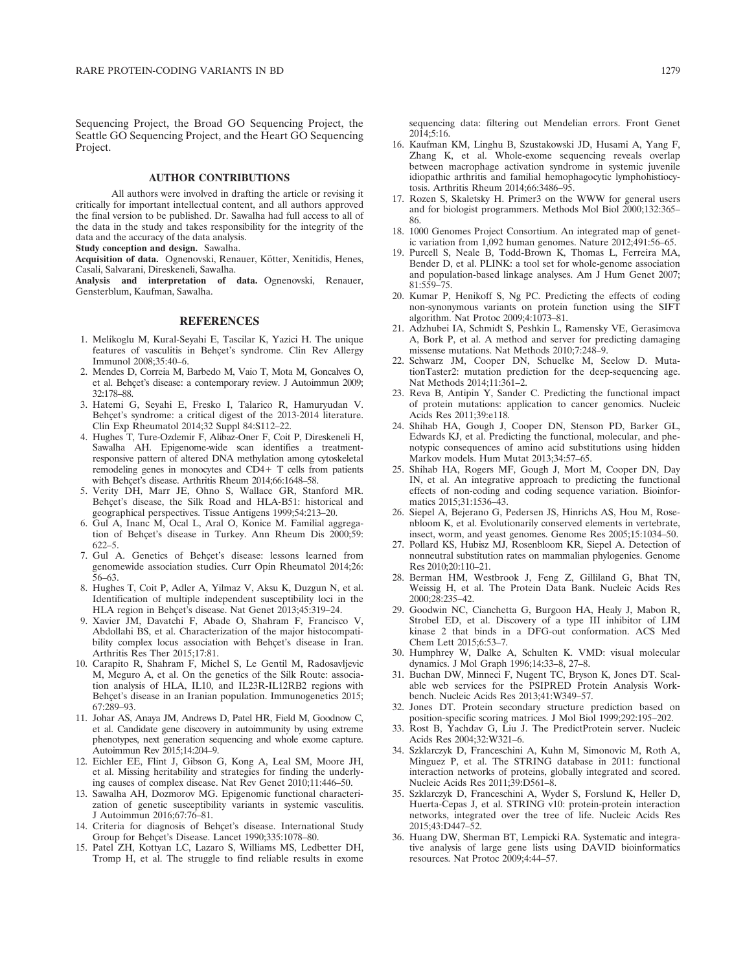Sequencing Project, the Broad GO Sequencing Project, the Seattle GO Sequencing Project, and the Heart GO Sequencing Project.

## AUTHOR CONTRIBUTIONS

All authors were involved in drafting the article or revising it critically for important intellectual content, and all authors approved the final version to be published. Dr. Sawalha had full access to all of the data in the study and takes responsibility for the integrity of the data and the accuracy of the data analysis.

Study conception and design. Sawalha.

Acquisition of data. Ognenovski, Renauer, Kötter, Xenitidis, Henes, Casali, Salvarani, Direskeneli, Sawalha.

Analysis and interpretation of data. Ognenovski, Renauer, Gensterblum, Kaufman, Sawalha.

### **REFERENCES**

- 1. Melikoglu M, Kural-Seyahi E, Tascilar K, Yazici H. The unique features of vasculitis in Behçet's syndrome. Clin Rev Allergy Immunol 2008;35:40–6.
- 2. Mendes D, Correia M, Barbedo M, Vaio T, Mota M, Goncalves O, et al. Behçet's disease: a contemporary review. J Autoimmun 2009; 32:178–88.
- 3. Hatemi G, Seyahi E, Fresko I, Talarico R, Hamuryudan V. Behçet's syndrome: a critical digest of the 2013-2014 literature. Clin Exp Rheumatol 2014;32 Suppl 84:S112–22.
- 4. Hughes T, Ture-Ozdemir F, Alibaz-Oner F, Coit P, Direskeneli H, Sawalha AH. Epigenome-wide scan identifies a treatmentresponsive pattern of altered DNA methylation among cytoskeletal remodeling genes in monocytes and  $CD4+T$  cells from patients with Behçet's disease. Arthritis Rheum 2014;66:1648-58.
- 5. Verity DH, Marr JE, Ohno S, Wallace GR, Stanford MR. Behcet's disease, the Silk Road and HLA-B51: historical and geographical perspectives. Tissue Antigens 1999;54:213–20.
- 6. Gul A, Inanc M, Ocal L, Aral O, Konice M. Familial aggregation of Behçet's disease in Turkey. Ann Rheum Dis 2000;59: 622–5.
- 7. Gul A. Genetics of Behçet's disease: lessons learned from genomewide association studies. Curr Opin Rheumatol 2014;26: 56–63.
- 8. Hughes T, Coit P, Adler A, Yilmaz V, Aksu K, Duzgun N, et al. Identification of multiple independent susceptibility loci in the HLA region in Behçet's disease. Nat Genet 2013;45:319-24.
- 9. Xavier JM, Davatchi F, Abade O, Shahram F, Francisco V, Abdollahi BS, et al. Characterization of the major histocompatibility complex locus association with Behçet's disease in Iran. Arthritis Res Ther 2015;17:81.
- 10. Carapito R, Shahram F, Michel S, Le Gentil M, Radosavljevic M, Meguro A, et al. On the genetics of the Silk Route: association analysis of HLA, IL10, and IL23R-IL12RB2 regions with Behçet's disease in an Iranian population. Immunogenetics 2015; 67:289–93.
- 11. Johar AS, Anaya JM, Andrews D, Patel HR, Field M, Goodnow C, et al. Candidate gene discovery in autoimmunity by using extreme phenotypes, next generation sequencing and whole exome capture. Autoimmun Rev 2015;14:204–9.
- 12. Eichler EE, Flint J, Gibson G, Kong A, Leal SM, Moore JH, et al. Missing heritability and strategies for finding the underlying causes of complex disease. Nat Rev Genet 2010;11:446–50.
- 13. Sawalha AH, Dozmorov MG. Epigenomic functional characterization of genetic susceptibility variants in systemic vasculitis. J Autoimmun 2016;67:76–81.
- 14. Criteria for diagnosis of Behçet's disease. International Study Group for Behçet's Disease. Lancet 1990;335:1078-80.
- 15. Patel ZH, Kottyan LC, Lazaro S, Williams MS, Ledbetter DH, Tromp H, et al. The struggle to find reliable results in exome

sequencing data: filtering out Mendelian errors. Front Genet 2014;5:16.

- 16. Kaufman KM, Linghu B, Szustakowski JD, Husami A, Yang F, Zhang K, et al. Whole-exome sequencing reveals overlap between macrophage activation syndrome in systemic juvenile idiopathic arthritis and familial hemophagocytic lymphohistiocytosis. Arthritis Rheum 2014;66:3486–95.
- 17. Rozen S, Skaletsky H. Primer3 on the WWW for general users and for biologist programmers. Methods Mol Biol 2000;132:365– 86.
- 18. 1000 Genomes Project Consortium. An integrated map of genetic variation from 1,092 human genomes. Nature 2012;491:56–65.
- 19. Purcell S, Neale B, Todd-Brown K, Thomas L, Ferreira MA, Bender D, et al. PLINK: a tool set for whole-genome association and population-based linkage analyses. Am J Hum Genet 2007; 81:559–75.
- 20. Kumar P, Henikoff S, Ng PC. Predicting the effects of coding non-synonymous variants on protein function using the SIFT algorithm. Nat Protoc 2009;4:1073–81.
- 21. Adzhubei IA, Schmidt S, Peshkin L, Ramensky VE, Gerasimova A, Bork P, et al. A method and server for predicting damaging missense mutations. Nat Methods 2010;7:248–9.
- 22. Schwarz JM, Cooper DN, Schuelke M, Seelow D. MutationTaster2: mutation prediction for the deep-sequencing age. Nat Methods 2014;11:361–2.
- 23. Reva B, Antipin Y, Sander C. Predicting the functional impact of protein mutations: application to cancer genomics. Nucleic Acids Res 2011;39:e118.
- 24. Shihab HA, Gough J, Cooper DN, Stenson PD, Barker GL, Edwards KJ, et al. Predicting the functional, molecular, and phenotypic consequences of amino acid substitutions using hidden Markov models. Hum Mutat 2013;34:57–65.
- 25. Shihab HA, Rogers MF, Gough J, Mort M, Cooper DN, Day IN, et al. An integrative approach to predicting the functional effects of non-coding and coding sequence variation. Bioinformatics 2015;31:1536–43.
- 26. Siepel A, Bejerano G, Pedersen JS, Hinrichs AS, Hou M, Rosenbloom K, et al. Evolutionarily conserved elements in vertebrate, insect, worm, and yeast genomes. Genome Res 2005;15:1034–50.
- 27. Pollard KS, Hubisz MJ, Rosenbloom KR, Siepel A. Detection of nonneutral substitution rates on mammalian phylogenies. Genome Res 2010;20:110–21.
- 28. Berman HM, Westbrook J, Feng Z, Gilliland G, Bhat TN, Weissig H, et al. The Protein Data Bank. Nucleic Acids Res 2000;28:235–42.
- 29. Goodwin NC, Cianchetta G, Burgoon HA, Healy J, Mabon R, Strobel ED, et al. Discovery of a type III inhibitor of LIM kinase 2 that binds in a DFG-out conformation. ACS Med Chem Lett 2015;6:53–7.
- 30. Humphrey W, Dalke A, Schulten K. VMD: visual molecular dynamics. J Mol Graph 1996;14:33–8, 27–8.
- 31. Buchan DW, Minneci F, Nugent TC, Bryson K, Jones DT. Scalable web services for the PSIPRED Protein Analysis Workbench. Nucleic Acids Res 2013;41:W349–57.
- 32. Jones DT. Protein secondary structure prediction based on position-specific scoring matrices. J Mol Biol 1999;292:195–202.
- 33. Rost B, Yachdav G, Liu J. The PredictProtein server. Nucleic Acids Res 2004;32:W321–6.
- 34. Szklarczyk D, Franceschini A, Kuhn M, Simonovic M, Roth A, Minguez P, et al. The STRING database in 2011: functional interaction networks of proteins, globally integrated and scored. Nucleic Acids Res 2011;39:D561–8.
- 35. Szklarczyk D, Franceschini A, Wyder S, Forslund K, Heller D, Huerta-Cepas J, et al. STRING v10: protein-protein interaction networks, integrated over the tree of life. Nucleic Acids Res 2015;43:D447–52.
- 36. Huang DW, Sherman BT, Lempicki RA. Systematic and integrative analysis of large gene lists using DAVID bioinformatics resources. Nat Protoc 2009;4:44–57.